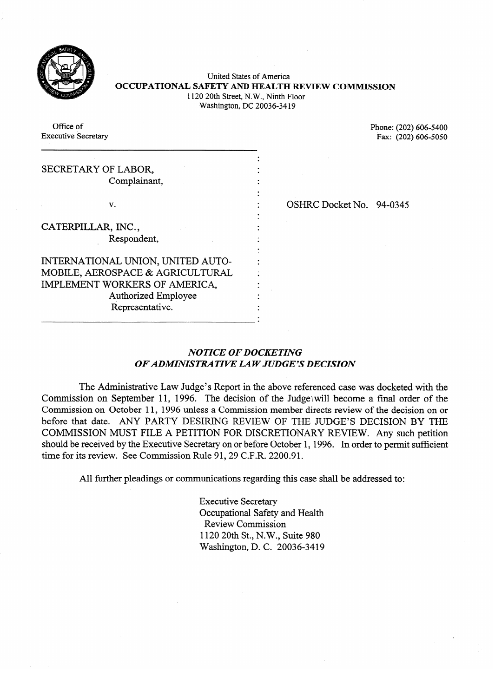

United States of America **OCCUPATIONAL SAFETY AND HEALTH REVIEW COMMISSION** 1120 20th Street, N.W., Ninth Floor Washington, DC 20036-34 19

Office of

Office of Phone: (202) 606-5400<br>Executive Secretary Fax: (202) 606-5050  $\mathbb{R}^2$  Fax: (202) 606-5050

| SECRETARY OF LABOR,<br>Complainant, |                          |  |
|-------------------------------------|--------------------------|--|
| v.                                  | OSHRC Docket No. 94-0345 |  |
| CATERPILLAR, INC.,                  |                          |  |
| Respondent,                         |                          |  |
| INTERNATIONAL UNION, UNITED AUTO-   |                          |  |
| MOBILE, AEROSPACE & AGRICULTURAL    |                          |  |
| IMPLEMENT WORKERS OF AMERICA,       |                          |  |
| <b>Authorized Employee</b>          |                          |  |
| Representative.                     |                          |  |

Representative.

## OSHRC Docket No. 94-0345

## **NOTICE OF DOCKETING** *OF ADMINISTRATIVE LAW JUDGE'S DECISION*

The Administrative Law Judge's Report in the above referenced case was docketed with the Commission on September 11, 1996. The decision of the Judge will become a final order of the Commission on October 11, 1996 unless a Commission member directs review of the decision on or before that date. ANY PARTY DESIRING REVIEW OF THE JUDGE'S DECISION BY THE COMMISSION MUST FILE A PETITION FOR DISCRETIONARY REVIEW. Any such petition should be received by the Executive Secretary on or before October 1, 1996. In order to permit sufficient time for its review. See Commission Rule 91, 29 C.F.R. 2200.91.  $s_{\rm eff}$  and the Executive Secretary on or before  $\sim$  1996. In order to permit sufficient  $\sim$ 

All further pleadings or communications regarding this case shall be addressed to:

Executive Secretary Occupational Safety and Health Review Commission 1120 20th St., N.W., Suite 980 Washington, D. C. 20036-3419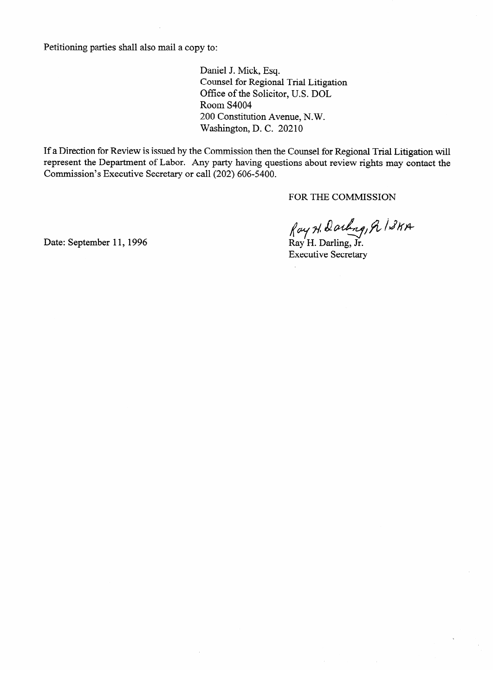Petitioning parties shall also mail a copy to:

Daniel J. Mick, Esq. Counsel for Regional Trial Litigation Office of the Solicitor, U.S. DOL<br>Room S4004 200 Constitution Avenue, N.W.  $200$  Constitution Avenue, N. W. Washington, D. C. 20210

If a Direction for Review is issued by the Commission then the Counsel for Regional Trial Litigation will represent the Department of Labor. Any party having questions about review rights may contact the represent the Department of Labor. Any party having questions about review rights may contact the Commission's Executive Secretary or call (202) 606-5400.

fay H. Darling, R ISKA<br>Ray H. Darling, Jr.<br>Executive Secretary

 $\mathbf{E}_{\mathbf{S}}$  executive Secretary Secretary

Date: September 11, 1996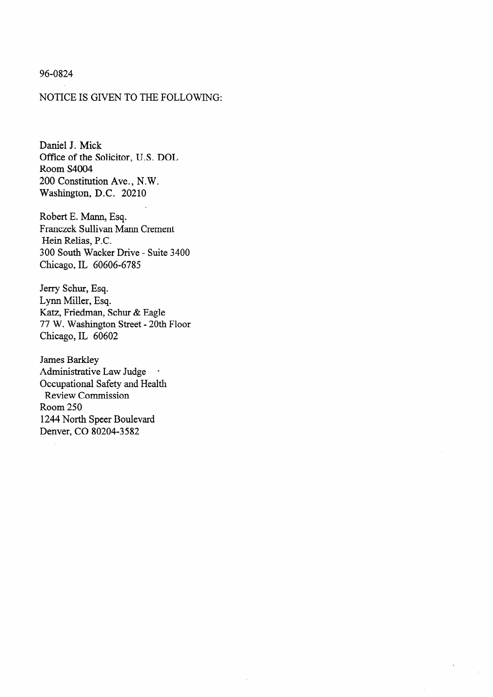# 96-0824

## NOTICE IS GIVEN TO THE FOLLOWING:

Daniel J. Mick Office of the Solicitor, U.S. DOL Room S4004 200 Constitution Ave., N.W. Washington, D.C. 20210

Robert E. Mann, Esq. Franczek Sullivan Mann Crement Hein Relias, P.C. 300 South Wacker Drive - Suite 3400 Chicago, IL 60606-6785

Jerry Schur, Esq. Lynn Miller, Esq. Katz, Friedman, Schur & Eagle 77 W. Washington Street - 20th Floor Chicago, IL 60602

James Barkley Administrative Law Judge . Occupational Safety and Health Review Commission Room 250 1244 North Speer Boulevard Denver, CO 80204-3582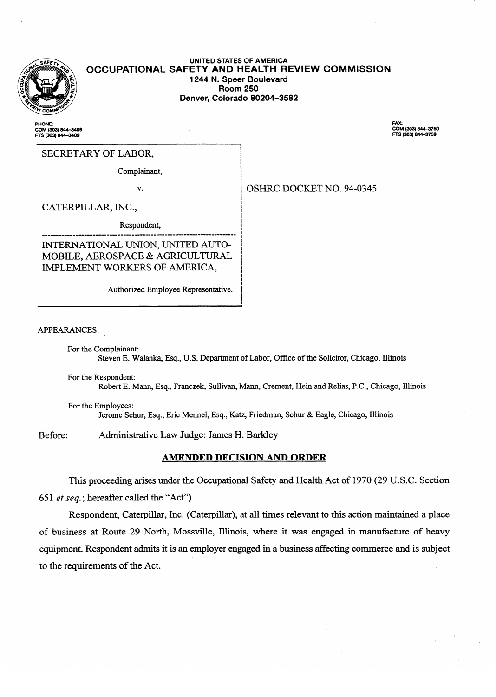

 $-$ 

#### **UNITED STATES OF AMERICA OCCUPATIONAL SAFETY AND HEALTH REVIEW COMMISSION 1244 N. Speer Boulevard**  Denver, Colorado 80204-3582 **Denver, Colorado 80204-3582**

**i 1 I** 

I

I

I

!<br>!<br>!

¦ |  $\mathbf{I}$ i

**PHONE** COM (303) 844–3405<br>FTS (303) 844–3409 FAX:<br>COM (303) 844-3759<br>FTS (303) 844-3759

SECRETARY OF LABOR,

 $\mathbf{C}$ 

OSHRC DOCKET NO. 94-0345 V. i OSHRC DOCKET NO. 94-0345

CATERPILLAR, INC.,

CATER IS A 1990 FOR THE CATER IN THE CATER IS A 1990 FOR THE CATER IN THE CATER IN THE CATER IN THE CATER IN THE

Respondent, ! INTERNATIONAL UNION, UNITED AUTO-MOBILE, AEROSPACE & AGRICULTURAL IMPLEMENT WORKERS OF AMERICA,

Authorized Employee Representative. !

APPEARANCES:

For the Complainant:

 $S_{\text{exponential}}$ Robert E. Mann, Esq., Franczek, Sullivan, Mann, Crement, Hein and Relias, P.C., Chicago, Illinois

 $R_{\rm F}$  is a manifold express of  $R_{\rm F}$  and  $R_{\rm F}$  and  $R_{\rm F}$  and  $R_{\rm F}$  and  $R_{\rm F}$  and  $R_{\rm F}$  and  $R_{\rm F}$  and  $R_{\rm F}$  and  $R_{\rm F}$  and  $R_{\rm F}$  and  $R_{\rm F}$  and  $R_{\rm F}$  and  $R_{\rm F}$  and  $R_{\rm F}$  and  $R_{\rm$ Jerome Schur, Esq., Eric Mennel, Esq., Katz, Friedman, Schur & Eagle, Chicago, Illinois

Administrative Law Judge: James H. Barkley Before:

#### AMENDED DECISION AND ORDER

This proceeding arises under the Occupational Safety and Health Act of 1970 (29 U.S.C. Section 651 *et seq.*; hereafter called the "Act").

Respondent, Caterpillar, Inc. (Caterpillar), at all times relevant to this action maintained a place of business at Route 29 North, Mossville, Illinois, where it was engaged in manufacture of heavy equipment. Respondent admits it is an employer engaged in a business affecting commerce and is subject equipment. Responses and it is an employer engaged in a business affecting commerce and in a business affecting commerce and it is subjected in a business affecting commerce and it is subjected in a business affecting comm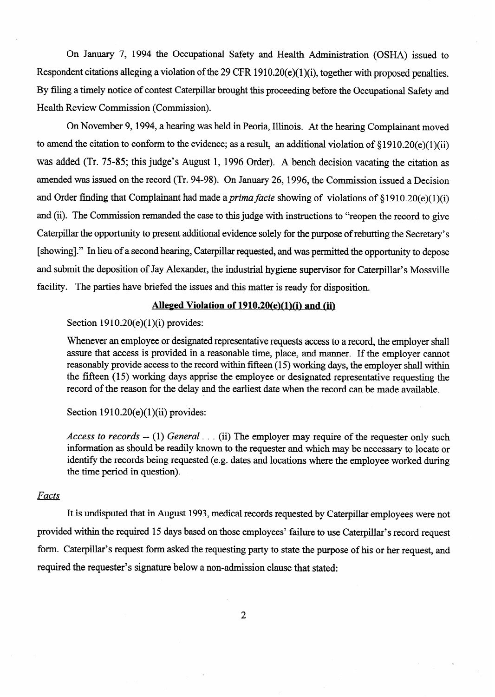On January 7, 1994 the Occupational Safety and Health Administration (OSHA) issued to Respondent citations alleging a violation of the 29 CFR 1910.20(e)(1)(i), together with proposed penalties. By filing a timely notice of contest Caterpillar brought this proceeding before the Occupational Safety and Health Review Commission (Commission).

On November 9,1994, a hearing was held in Peoria, Illinois. At the hearing Complainant moved to amend the citation to conform to the evidence; as a result, an additional violation of  $\S1910.20(e)(1)(ii)$ was added (Tr. 75-85; this judge's August 1, 1996 Order). A bench decision vacating the citation as amended was issued on the record (Tr. 94-98). On January 26, 1996, the Commission issued a Decision and Order finding that Complainant had made a *prima facie* showing of violations of  $\S1910.20(e)(1)(i)$ and (ii). The Commission remanded the case to this judge with instructions to "reopen the record to give Caterpillar the opportunity to present additional evidence solely for the purpose of rebutting the Secretary's [showing]." In lieu of a second hearing, Caterpillar requested, and was permitted the opportunity to depose and submit the deposition of Jay Alexander, the industrial hygiene supervisor for Caterpillar's Mossville facility. The parties have briefed the issues and this matter is ready for disposition.

# **Alleged Violation of 1910.20(e)(1)(i) and (ii)**

Section  $1910.20(e)(1)(i)$  provides:

Whenever an employee or designated representative requests access to a record, the employer shall assure that access is provided in a reasonable time, place, and manner. If the employer cannot reasonably provide access to the record within fifteen (15) working days, the employer shall within the fifteen **(15)** working days apprise the employee or designated representative requesting the record of the reason for the delay and the earliest date when the record can be made available.

#### Section  $1910.20(e)(1)(ii)$  provides:

*Access to records --* (1) *General . . .* (ii) The employer may require of the requester only such information as should be readily known to the requester and which may be necessary to locate or identify the records being requested (e.g. dates and locations where the employee worked during the time period in question).

# *Facts*

It is undisputed that in August 1993, medical records requested by Caterpillar employees were not provided within the required 15 days based on those employees' failure to use Caterpillar's record request form. Caterpillar's request form asked the requesting party to state the purpose of his or her request, and required the requester's signature below a non-admission clause that stated: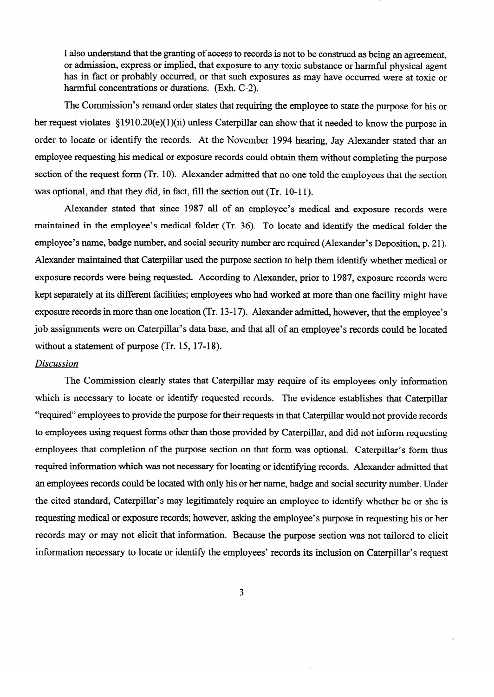I also understand that the granting of access to records is not to be construed as being an agreement, or admission, express or implied, that exposure to any toxic substance or harmful physical agent has in fact or probably occurred, or that such exposures as may have occurred were at toxic or harmful concentrations or durations. (Exh. C-2).

The Commission's remand order states that requiring the employee to state the purpose for his or her request violates §1910.20(e)(1)(ii) unless Caterpillar can show that it needed to know the purpose in order to locate or identify the records. At the November 1994 hearing, Jay Alexander stated that an employee requesting his medical or exposure records could obtain them without completing the purpose section of the request form (Tr. 10). Alexander admitted that no one told the employees that the section was optional, and that they did, in fact, fill the section out (Tr. 10-11).

Alexander stated that since 1987 all of an employee's medical and exposure records were maintained in the employee's medical folder (Tr. 36). To locate and identify the medical folder the employee's name, badge number, and social security number are required (Alexander's Deposition, p. 21). Alexander maintained that Caterpillar used the purpose section to help them identify whether medical or exposure records were being requested. According to Alexander, prior to 1987, exposure records were kept separately at its different facilities; employees who had worked at more than one facility might have exposure records in more than one location (Tr. 13-17). Alexander admitted, however, that the employee's iob assignments were on Caterpillar's data base, and that all of an employee's records could be located without a statement of purpose (Tr. 15, 17-18).

#### **Discussion**

The Commission clearly states that Caterpillar may require of its employees only information which is necessary to locate or identify requested records. The evidence establishes that Caterpillar "required" employees to provide the purpose for their requests in that Caterpillar would not provide records to employees using request forms other than those provided by Caterpillar, and did not inform requesting employees that completion of the purpose section on that form was optional. Caterpillar's form thus required information which was not necessary for locating or identifying records. Alexander admitted that an employees records could be located with only his or her name, badge and social security number. Under the cited standard, Caterpillar's may legitimately require an employee to identify whether he or she is requesting medical or exposure records; however, asking the employee's purpose in requesting his or her records may or may not elicit that information. Because the purpose section was not tailored to elicit information necessary to locate or identify the employees' records its inclusion on Caterpillar's request